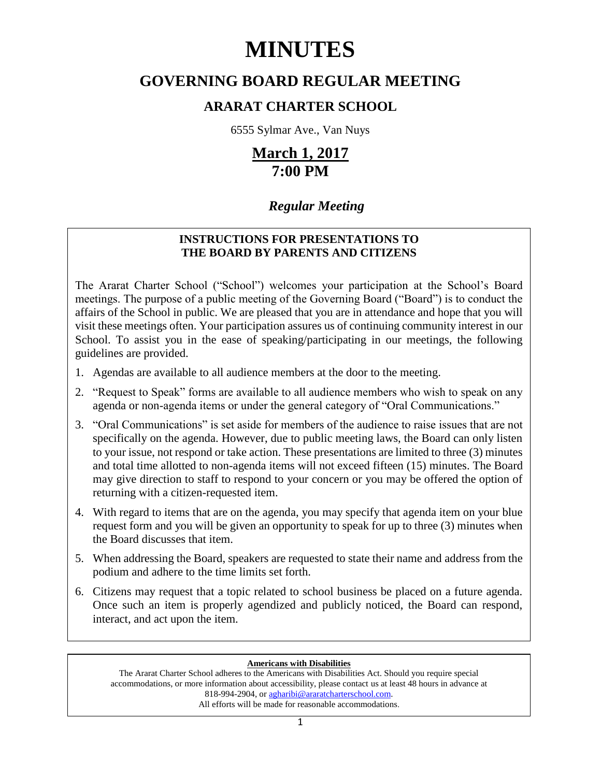# **MINUTES**

# **GOVERNING BOARD REGULAR MEETING**

# **ARARAT CHARTER SCHOOL**

6555 Sylmar Ave., Van Nuys

# **March 1, 2017 7:00 PM**

# *Regular Meeting*

# **INSTRUCTIONS FOR PRESENTATIONS TO THE BOARD BY PARENTS AND CITIZENS**

The Ararat Charter School ("School") welcomes your participation at the School's Board meetings. The purpose of a public meeting of the Governing Board ("Board") is to conduct the affairs of the School in public. We are pleased that you are in attendance and hope that you will visit these meetings often. Your participation assures us of continuing community interest in our School. To assist you in the ease of speaking/participating in our meetings, the following guidelines are provided.

- 1. Agendas are available to all audience members at the door to the meeting.
- 2. "Request to Speak" forms are available to all audience members who wish to speak on any agenda or non-agenda items or under the general category of "Oral Communications."
- 3. "Oral Communications" is set aside for members of the audience to raise issues that are not specifically on the agenda. However, due to public meeting laws, the Board can only listen to your issue, not respond or take action. These presentations are limited to three (3) minutes and total time allotted to non-agenda items will not exceed fifteen (15) minutes. The Board may give direction to staff to respond to your concern or you may be offered the option of returning with a citizen-requested item.
- 4. With regard to items that are on the agenda, you may specify that agenda item on your blue request form and you will be given an opportunity to speak for up to three (3) minutes when the Board discusses that item.
- 5. When addressing the Board, speakers are requested to state their name and address from the podium and adhere to the time limits set forth.
- 6. Citizens may request that a topic related to school business be placed on a future agenda. Once such an item is properly agendized and publicly noticed, the Board can respond, interact, and act upon the item.

## **Americans with Disabilities**

The Ararat Charter School adheres to the Americans with Disabilities Act. Should you require special accommodations, or more information about accessibility, please contact us at least 48 hours in advance at 818-994-2904, or agharibi@araratcharterschool.com. All efforts will be made for reasonable accommodations.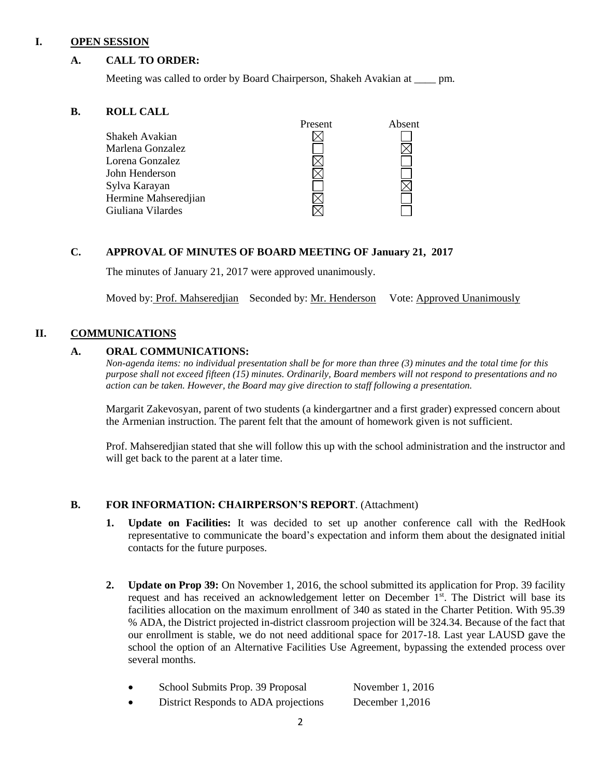#### **I. OPEN SESSION**

#### **A. CALL TO ORDER:**

Meeting was called to order by Board Chairperson, Shakeh Avakian at \_\_\_\_ pm.

#### **B. ROLL CALL**

|                      | Present | Absent |
|----------------------|---------|--------|
| Shakeh Avakian       |         |        |
| Marlena Gonzalez     |         |        |
| Lorena Gonzalez      |         |        |
| John Henderson       |         |        |
| Sylva Karayan        |         |        |
| Hermine Mahseredjian |         |        |
| Giuliana Vilardes    |         |        |
|                      |         |        |

#### **C. APPROVAL OF MINUTES OF BOARD MEETING OF January 21, 2017**

The minutes of January 21, 2017 were approved unanimously.

Moved by: Prof. Mahseredjian Seconded by: Mr. Henderson Vote: Approved Unanimously

#### **II. COMMUNICATIONS**

#### **A. ORAL COMMUNICATIONS:**

*Non-agenda items: no individual presentation shall be for more than three (3) minutes and the total time for this purpose shall not exceed fifteen (15) minutes. Ordinarily, Board members will not respond to presentations and no action can be taken. However, the Board may give direction to staff following a presentation.*

Margarit Zakevosyan, parent of two students (a kindergartner and a first grader) expressed concern about the Armenian instruction. The parent felt that the amount of homework given is not sufficient.

Prof. Mahseredjian stated that she will follow this up with the school administration and the instructor and will get back to the parent at a later time.

#### **B. FOR INFORMATION: CHAIRPERSON'S REPORT**. (Attachment)

- **1. Update on Facilities:** It was decided to set up another conference call with the RedHook representative to communicate the board's expectation and inform them about the designated initial contacts for the future purposes.
- **2. Update on Prop 39:** On November 1, 2016, the school submitted its application for Prop. 39 facility request and has received an acknowledgement letter on December  $1<sup>st</sup>$ . The District will base its facilities allocation on the maximum enrollment of 340 as stated in the Charter Petition. With 95.39 % ADA, the District projected in-district classroom projection will be 324.34. Because of the fact that our enrollment is stable, we do not need additional space for 2017-18. Last year LAUSD gave the school the option of an Alternative Facilities Use Agreement, bypassing the extended process over several months.

| School Submits Prop. 39 Proposal     | November 1, 2016 |
|--------------------------------------|------------------|
| District Responds to ADA projections | December 1,2016  |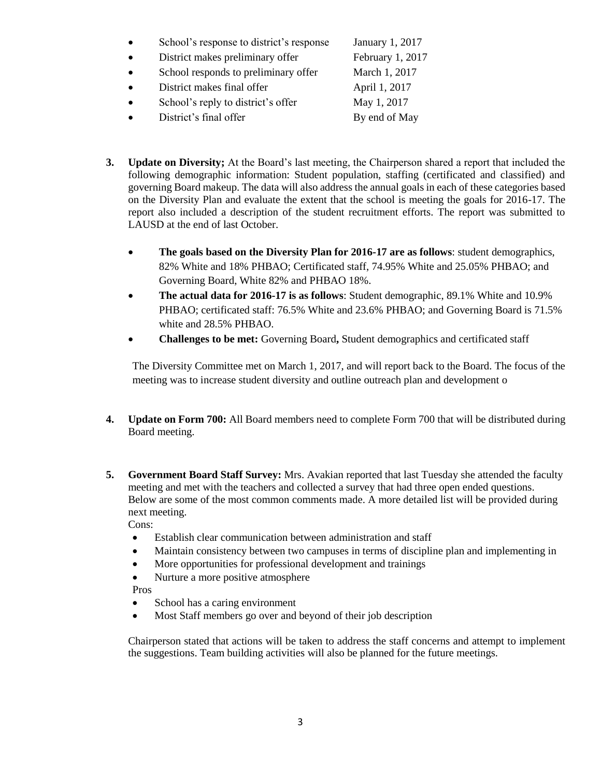- School's response to district's response January 1, 2017
- District makes preliminary offer February 1, 2017
- School responds to preliminary offer March 1, 2017
- District makes final offer April 1, 2017
- School's reply to district's offer May 1, 2017
- District's final offer By end of May

- 
- **3. Update on Diversity;** At the Board's last meeting, the Chairperson shared a report that included the following demographic information: Student population, staffing (certificated and classified) and governing Board makeup. The data will also address the annual goals in each of these categories based on the Diversity Plan and evaluate the extent that the school is meeting the goals for 2016-17. The report also included a description of the student recruitment efforts. The report was submitted to LAUSD at the end of last October.
	- **The goals based on the Diversity Plan for 2016-17 are as follows**: student demographics, 82% White and 18% PHBAO; Certificated staff, 74.95% White and 25.05% PHBAO; and Governing Board, White 82% and PHBAO 18%.
	- **The actual data for 2016-17 is as follows**: Student demographic, 89.1% White and 10.9% PHBAO; certificated staff: 76.5% White and 23.6% PHBAO; and Governing Board is 71.5% white and 28.5% PHBAO.
	- **Challenges to be met:** Governing Board, Student demographics and certificated staff

The Diversity Committee met on March 1, 2017, and will report back to the Board. The focus of the meeting was to increase student diversity and outline outreach plan and development o

- **4. Update on Form 700:** All Board members need to complete Form 700 that will be distributed during Board meeting.
- **5. Government Board Staff Survey:** Mrs. Avakian reported that last Tuesday she attended the faculty meeting and met with the teachers and collected a survey that had three open ended questions. Below are some of the most common comments made. A more detailed list will be provided during next meeting.

Cons:

- Establish clear communication between administration and staff
- Maintain consistency between two campuses in terms of discipline plan and implementing in
- More opportunities for professional development and trainings
- Nurture a more positive atmosphere

Pros

- School has a caring environment
- Most Staff members go over and beyond of their job description

Chairperson stated that actions will be taken to address the staff concerns and attempt to implement the suggestions. Team building activities will also be planned for the future meetings.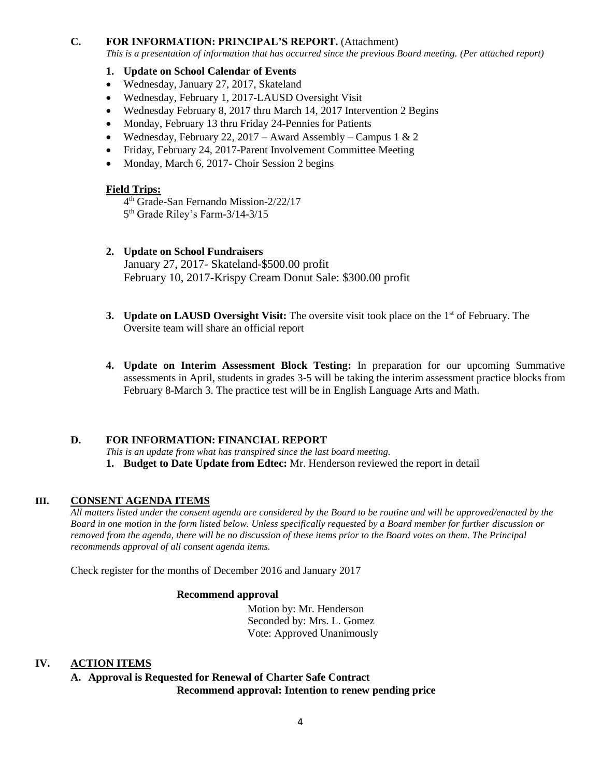#### **C. FOR INFORMATION: PRINCIPAL'S REPORT.** (Attachment)

*This is a presentation of information that has occurred since the previous Board meeting. (Per attached report)*

#### **1. Update on School Calendar of Events**

- Wednesday, January 27, 2017, Skateland
- Wednesday, February 1, 2017-LAUSD Oversight Visit
- Wednesday February 8, 2017 thru March 14, 2017 Intervention 2 Begins
- Monday, February 13 thru Friday 24-Pennies for Patients
- Wednesday, February 22, 2017 Award Assembly Campus 1 & 2
- Friday, February 24, 2017-Parent Involvement Committee Meeting
- Monday, March 6, 2017- Choir Session 2 begins

#### **Field Trips:**

- 4 th Grade-San Fernando Mission-2/22/17 5<sup>th</sup> Grade Riley's Farm-3/14-3/15
- **2. Update on School Fundraisers**

January 27, 2017- Skateland-\$500.00 profit February 10, 2017-Krispy Cream Donut Sale: \$300.00 profit

- **3. Update on LAUSD Oversight Visit:** The oversite visit took place on the 1<sup>st</sup> of February. The Oversite team will share an official report
- **4. Update on Interim Assessment Block Testing:** In preparation for our upcoming Summative assessments in April, students in grades 3-5 will be taking the interim assessment practice blocks from February 8-March 3. The practice test will be in English Language Arts and Math.

#### **D. FOR INFORMATION: FINANCIAL REPORT**

*This is an update from what has transpired since the last board meeting.* **1. Budget to Date Update from Edtec:** Mr. Henderson reviewed the report in detail

#### **III. CONSENT AGENDA ITEMS**

*All matters listed under the consent agenda are considered by the Board to be routine and will be approved/enacted by the Board in one motion in the form listed below. Unless specifically requested by a Board member for further discussion or removed from the agenda, there will be no discussion of these items prior to the Board votes on them. The Principal recommends approval of all consent agenda items.*

Check register for the months of December 2016 and January 2017

#### **Recommend approval**

 Motion by: Mr. Henderson Seconded by: Mrs. L. Gomez Vote: Approved Unanimously

#### **IV. ACTION ITEMS**

**A. Approval is Requested for Renewal of Charter Safe Contract Recommend approval: Intention to renew pending price**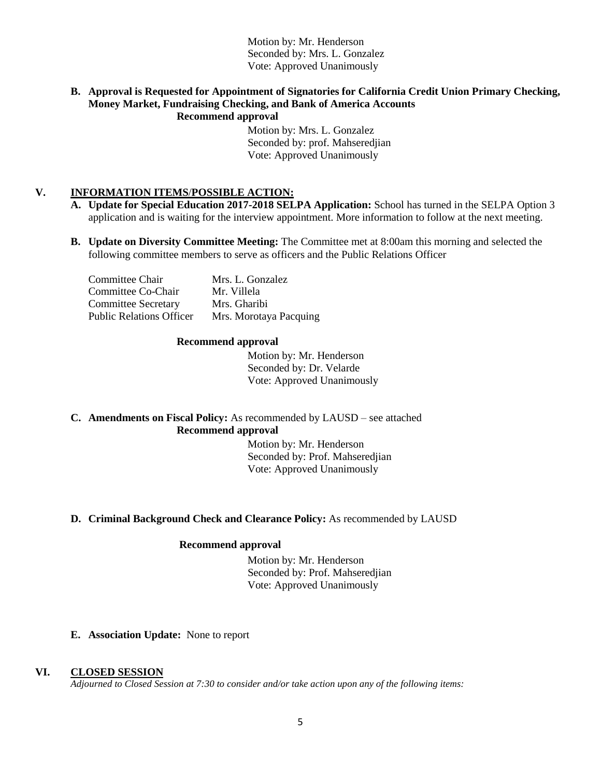Motion by: Mr. Henderson Seconded by: Mrs. L. Gonzalez Vote: Approved Unanimously

#### **B. Approval is Requested for Appointment of Signatories for California Credit Union Primary Checking, Money Market, Fundraising Checking, and Bank of America Accounts Recommend approval**

 Motion by: Mrs. L. Gonzalez Seconded by: prof. Mahseredjian Vote: Approved Unanimously

### **V. INFORMATION ITEMS**/**POSSIBLE ACTION:**

- **A. Update for Special Education 2017-2018 SELPA Application:** School has turned in the SELPA Option 3 application and is waiting for the interview appointment. More information to follow at the next meeting.
- **B. Update on Diversity Committee Meeting:** The Committee met at 8:00am this morning and selected the following committee members to serve as officers and the Public Relations Officer

| Committee Chair                 | Mrs. L. Gonzalez       |
|---------------------------------|------------------------|
| Committee Co-Chair              | Mr. Villela            |
| <b>Committee Secretary</b>      | Mrs. Gharibi           |
| <b>Public Relations Officer</b> | Mrs. Morotaya Pacquing |

#### **Recommend approval**

 Motion by: Mr. Henderson Seconded by: Dr. Velarde Vote: Approved Unanimously

**C. Amendments on Fiscal Policy:** As recommended by LAUSD – see attached **Recommend approval**

> Motion by: Mr. Henderson Seconded by: Prof. Mahseredjian Vote: Approved Unanimously

#### **D. Criminal Background Check and Clearance Policy:** As recommended by LAUSD

#### **Recommend approval**

 Motion by: Mr. Henderson Seconded by: Prof. Mahseredjian Vote: Approved Unanimously

#### **E. Association Update:** None to report

#### **VI. CLOSED SESSION**

*Adjourned to Closed Session at 7:30 to consider and/or take action upon any of the following items:*